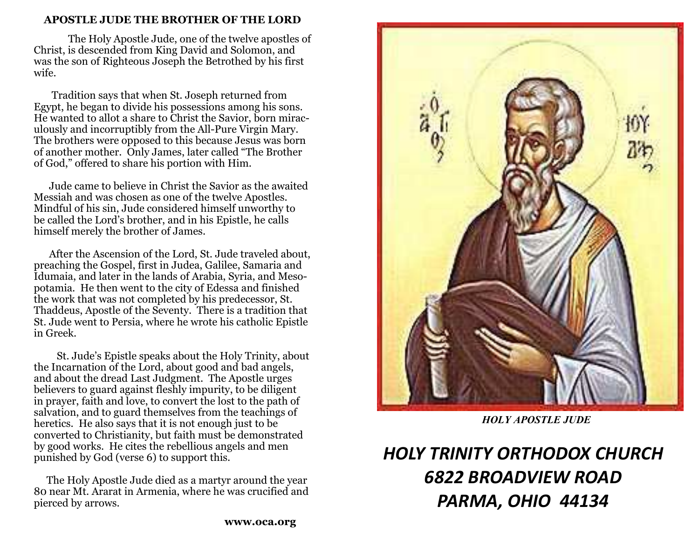# **APOSTLE JUDE THE BROTHER OF THE LORD**

 The Holy Apostle Jude, one of the twelve apostles of Christ, is descended from King David and Solomon, and was the son of Righteous Joseph the Betrothed by his first wife.

 Tradition says that when St. Joseph returned from Egypt, he began to divide his possessions among his sons. He wanted to allot a share to Christ the Savior, born miraculously and incorruptibly from the All-Pure Virgin Mary. The brothers were opposed to this because Jesus was born of another mother. Only James, later called "The Brother of God," offered to share his portion with Him.

 Jude came to believe in Christ the Savior as the awaited Messiah and was chosen as one of the twelve Apostles. Mindful of his sin, Jude considered himself unworthy to be called the Lord's brother, and in his Epistle, he calls himself merely the brother of James.

 After the Ascension of the Lord, St. Jude traveled about, preaching the Gospel, first in Judea, Galilee, Samaria and Idumaia, and later in the lands of Arabia, Syria, and Mesopotamia. He then went to the city of Edessa and finished the work that was not completed by his predecessor, St. Thaddeus, Apostle of the Seventy. There is a tradition that St. Jude went to Persia, where he wrote his catholic Epistle in Greek.

 St. Jude's Epistle speaks about the Holy Trinity, about the Incarnation of the Lord, about good and bad angels, and about the dread Last Judgment. The Apostle urges believers to guard against fleshly impurity, to be diligent in prayer, faith and love, to convert the lost to the path of salvation, and to guard themselves from the teachings of heretics. He also says that it is not enough just to be converted to Christianity, but faith must be demonstrated by good works. He cites the rebellious angels and men punished by God (verse 6) to support this.

 The Holy Apostle Jude died as a martyr around the year 80 near Mt. Ararat in Armenia, where he was crucified and pierced by arrows.



*HOLY APOSTLE JUDE*

# *HOLY TRINITY ORTHODOX CHURCH 6822 BROADVIEW ROAD PARMA, OHIO 44134*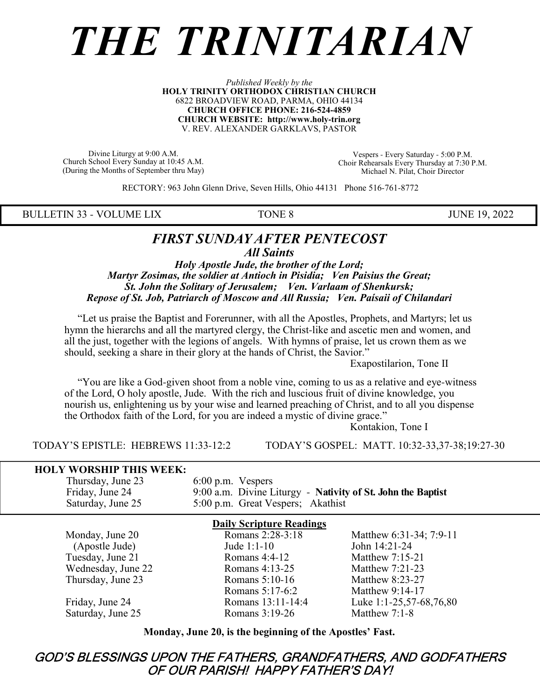# *THE TRINITARIAN*

#### *Published Weekly by the* **HOLY TRINITY ORTHODOX CHRISTIAN CHURCH** 6822 BROADVIEW ROAD, PARMA, OHIO 44134 **CHURCH OFFICE PHONE: 216-524-4859 CHURCH WEBSITE: http://www.holy-trin.org** V. REV. ALEXANDER GARKLAVS, PASTOR

Divine Liturgy at 9:00 A.M. Church School Every Sunday at 10:45 A.M. (During the Months of September thru May)

Vespers - Every Saturday - 5:00 P.M. Choir Rehearsals Every Thursday at 7:30 P.M. Michael N. Pilat, Choir Director

RECTORY: 963 John Glenn Drive, Seven Hills, Ohio 44131 Phone 516-761-8772

BULLETIN 33 - VOLUME LIX TONE 8 JUNE 19, 2022

# *FIRST SUNDAY AFTER PENTECOST All Saints*

*Holy Apostle Jude, the brother of the Lord; Martyr Zosimas, the soldier at Antioch in Pisidia; Ven Paisius the Great; St. John the Solitary of Jerusalem; Ven. Varlaam of Shenkursk; Repose of St. Job, Patriarch of Moscow and All Russia; Ven. Paísaii of Chilandari*

 "Let us praise the Baptist and Forerunner, with all the Apostles, Prophets, and Martyrs; let us hymn the hierarchs and all the martyred clergy, the Christ-like and ascetic men and women, and all the just, together with the legions of angels. With hymns of praise, let us crown them as we should, seeking a share in their glory at the hands of Christ, the Savior."

Exapostilarion, Tone II

 "You are like a God-given shoot from a noble vine, coming to us as a relative and eye-witness of the Lord, O holy apostle, Jude. With the rich and luscious fruit of divine knowledge, you nourish us, enlightening us by your wise and learned preaching of Christ, and to all you dispense the Orthodox faith of the Lord, for you are indeed a mystic of divine grace."

Kontakion, Tone I

TODAY'S EPISTLE: HEBREWS 11:33-12:2 TODAY'S GOSPEL: MATT. 10:32-33,37-38;19:27-30

# **HOLY WORSHIP THIS WEEK:**

Thursday, June 23 6:00 p.m. Vespers<br>Friday, June 24 9:00 a.m. Divine L Friday, June 24 9:00 a.m. Divine Liturgy - **Nativity of St. John the Baptist**<br>Saturday, June 25 5:00 p.m. Great Vespers; Akathist 5:00 p.m. Great Vespers; Akathist

| <b>Daily Scripture Readings</b> |                   |                         |  |
|---------------------------------|-------------------|-------------------------|--|
| Monday, June 20                 | Romans 2:28-3:18  | Matthew 6:31-34; 7:9-11 |  |
| (Apostle Jude)                  | Jude $1:1-10$     | John 14:21-24           |  |
| Tuesday, June 21                | Romans $4:4-12$   | Matthew 7:15-21         |  |
| Wednesday, June 22              | Romans 4:13-25    | Matthew 7:21-23         |  |
| Thursday, June 23               | Romans $5:10-16$  | Matthew 8:23-27         |  |
|                                 | Romans 5:17-6:2   | Matthew 9:14-17         |  |
| Friday, June 24                 | Romans 13:11-14:4 | Luke 1:1-25,57-68,76,80 |  |
| Saturday, June 25               | Romans 3:19-26    | Matthew 7:1-8           |  |

**Monday, June 20, is the beginning of the Apostles' Fast.**

# GOD'S BLESSINGS UPON THE FATHERS, GRANDFATHERS, AND GODFATHERS OF OUR PARISH! HAPPY FATHER'S DAY!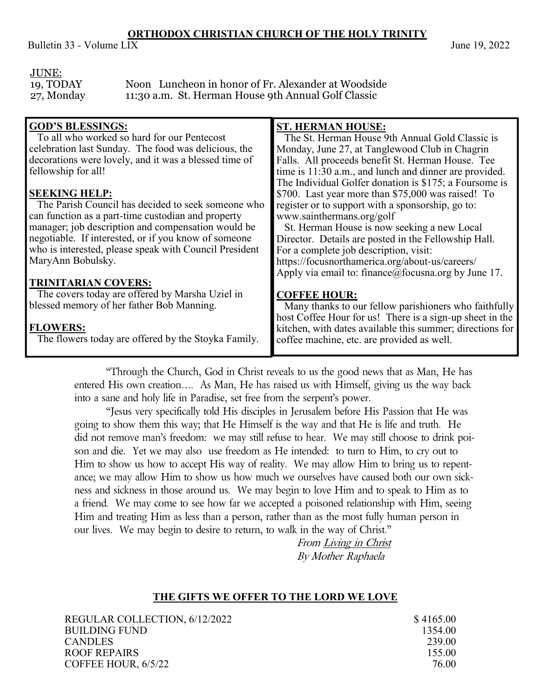# **ORTHODOX CHRISTIAN CHURCH OF THE HOLY TRINITY**

Bulletin 33 - Volume  $LIX$  June 19, 2022

## JUNE:

19, TODAY Noon Luncheon in honor of Fr. Alexander at Woodside 27, Monday 11:30 a.m. St. Herman House 9th Annual Golf Classic

| <b>GOD'S BLESSINGS:</b>                                | <b>ST. HERMAN HOUSE:</b>                                  |
|--------------------------------------------------------|-----------------------------------------------------------|
| To all who worked so hard for our Pentecost            | The St. Herman House 9th Annual Gold Classic is           |
| celebration last Sunday. The food was delicious, the   | Monday, June 27, at Tanglewood Club in Chagrin            |
| decorations were lovely, and it was a blessed time of  | Falls. All proceeds benefit St. Herman House. Tee         |
| fellowship for all!                                    | time is 11:30 a.m., and lunch and dinner are provided.    |
|                                                        | The Individual Golfer donation is \$175; a Foursome is    |
| <b>SEEKING HELP:</b>                                   | \$700. Last year more than \$75,000 was raised! To        |
| The Parish Council has decided to seek someone who     | register or to support with a sponsorship, go to:         |
| can function as a part-time custodian and property     | www.sainthermans.org/golf                                 |
| manager; job description and compensation would be     | St. Herman House is now seeking a new Local               |
| negotiable. If interested, or if you know of someone   | Director. Details are posted in the Fellowship Hall.      |
| who is interested, please speak with Council President | For a complete job description, visit:                    |
| MaryAnn Bobulsky.                                      | https://focusnorthamerica.org/about-us/careers/           |
|                                                        | Apply via email to: finance@focusna.org by June 17.       |
| <b>TRINITARIAN COVERS:</b>                             |                                                           |
| The covers today are offered by Marsha Uziel in        | <b>COFFEE HOUR:</b>                                       |
| blessed memory of her father Bob Manning.              | Many thanks to our fellow parishioners who faithfully     |
|                                                        | host Coffee Hour for us! There is a sign-up sheet in the  |
| <b>FLOWERS:</b>                                        | kitchen, with dates available this summer; directions for |
| The flowers today are offered by the Stoyka Family.    | coffee machine, etc. are provided as well.                |
|                                                        |                                                           |

"Through the Church, God in Christ reveals to us the good news that as Man, He has entered His own creation…. As Man, He has raised us with Himself, giving us the way back into a sane and holy life in Paradise, set free from the serpent's power.

"Jesus very specifically told His disciples in Jerusalem before His Passion that He was going to show them this way; that He Himself is the way and that He is life and truth. He did not remove man's freedom: we may still refuse to hear. We may still choose to drink poison and die. Yet we may also use freedom as He intended: to turn to Him, to cry out to Him to show us how to accept His way of reality. We may allow Him to bring us to repentance; we may allow Him to show us how much we ourselves have caused both our own sickness and sickness in those around us. We may begin to love Him and to speak to Him as to a friend. We may come to see how far we accepted a poisoned relationship with Him, seeing Him and treating Him as less than a person, rather than as the most fully human person in our lives. We may begin to desire to return, to walk in the way of Christ."

From Living in Christ By Mother Raphaela

# **THE GIFTS WE OFFER TO THE LORD WE LOVE**

REGULAR COLLECTION, 6/12/2022 \$4165.00 BUILDING FUND 1354.00 CANDLES 239.00 ROOF REPAIRS 155.00 COFFEE HOUR, 6/5/22 76.00